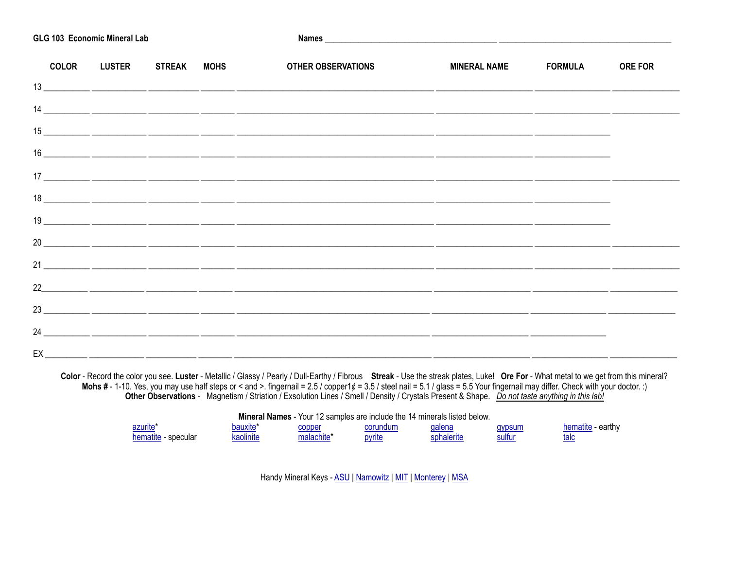| GLG 103 Economic Mineral Lab |                          |  |                                                                                                                                                                                                                                                                                                                                                                                                                                                                                |                      |  |                |  |  |
|------------------------------|--------------------------|--|--------------------------------------------------------------------------------------------------------------------------------------------------------------------------------------------------------------------------------------------------------------------------------------------------------------------------------------------------------------------------------------------------------------------------------------------------------------------------------|----------------------|--|----------------|--|--|
|                              | COLOR LUSTER STREAK MOHS |  | OTHER OBSERVATIONS                                                                                                                                                                                                                                                                                                                                                                                                                                                             | MINERAL NAME FORMULA |  | <b>ORE FOR</b> |  |  |
|                              |                          |  |                                                                                                                                                                                                                                                                                                                                                                                                                                                                                |                      |  |                |  |  |
|                              |                          |  |                                                                                                                                                                                                                                                                                                                                                                                                                                                                                |                      |  |                |  |  |
|                              |                          |  |                                                                                                                                                                                                                                                                                                                                                                                                                                                                                |                      |  |                |  |  |
|                              |                          |  |                                                                                                                                                                                                                                                                                                                                                                                                                                                                                |                      |  |                |  |  |
|                              |                          |  |                                                                                                                                                                                                                                                                                                                                                                                                                                                                                |                      |  |                |  |  |
|                              |                          |  | $\begin{array}{c c c c c c} \hline \textbf{18} & \textbf{---} & \textbf{---} & \textbf{---} & \textbf{---} & \textbf{---} & \textbf{---} & \textbf{---} & \textbf{---} & \textbf{---} & \textbf{---} & \textbf{---} & \textbf{---} & \textbf{---} & \textbf{---} & \textbf{---} & \textbf{---} & \textbf{---} & \textbf{---} & \textbf{---} & \textbf{---} & \textbf{---} & \textbf{---} & \textbf{---} & \textbf{---} & \textbf{---} & \textbf{---} & \textbf{---} & \textbf$ |                      |  |                |  |  |
|                              |                          |  |                                                                                                                                                                                                                                                                                                                                                                                                                                                                                |                      |  |                |  |  |
|                              |                          |  |                                                                                                                                                                                                                                                                                                                                                                                                                                                                                |                      |  |                |  |  |
|                              |                          |  |                                                                                                                                                                                                                                                                                                                                                                                                                                                                                |                      |  |                |  |  |
|                              |                          |  |                                                                                                                                                                                                                                                                                                                                                                                                                                                                                |                      |  |                |  |  |
|                              |                          |  |                                                                                                                                                                                                                                                                                                                                                                                                                                                                                |                      |  |                |  |  |
|                              |                          |  |                                                                                                                                                                                                                                                                                                                                                                                                                                                                                |                      |  |                |  |  |
|                              |                          |  |                                                                                                                                                                                                                                                                                                                                                                                                                                                                                |                      |  |                |  |  |
|                              |                          |  |                                                                                                                                                                                                                                                                                                                                                                                                                                                                                |                      |  |                |  |  |

Color - Record the color you see. Luster - Metallic / Glassy / Pearly / Dull-Earthy / Fibrous Streak - Use the streak plates, Luke! Ore For - What metal to we get from this mineral?<br>Mohs # - 1-10. Yes, you may use half ste

|                     | Mineral Names - Your 12 samples are include the 14 minerals listed below. |            |          |            |        |                   |
|---------------------|---------------------------------------------------------------------------|------------|----------|------------|--------|-------------------|
| azurite*            | bauxite'                                                                  | copper     | corundum | qalena     | gypsum | hematite - earthy |
| hematite - specular | kaolinite                                                                 | malachite* | pyrite   | sphalerite | sultur | talc              |

Handy Mineral Keys - ASU | Namowitz | MIT | Monterey | MSA